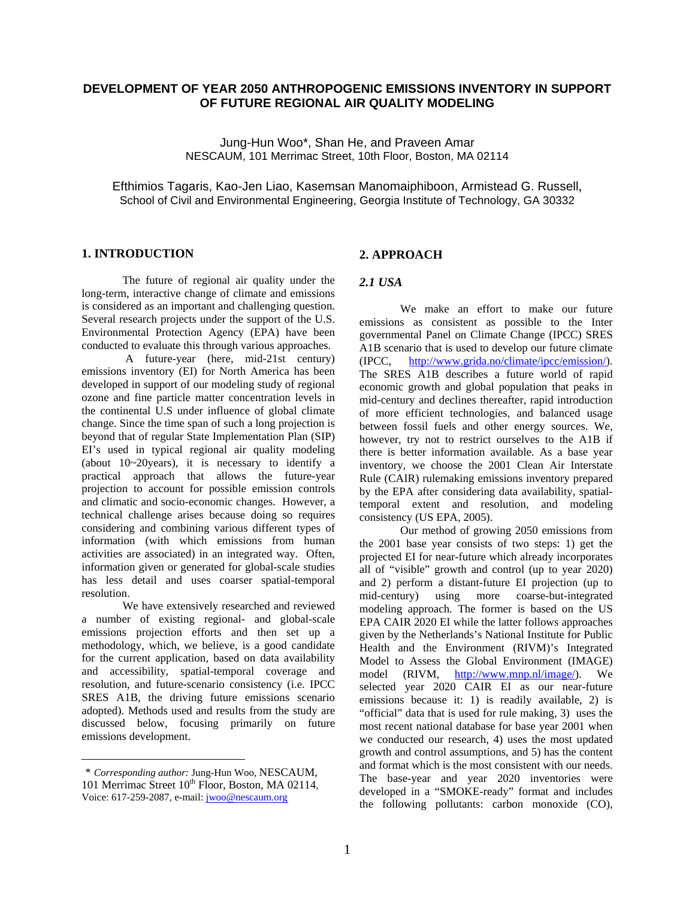# **DEVELOPMENT OF YEAR 2050 ANTHROPOGENIC EMISSIONS INVENTORY IN SUPPORT OF FUTURE REGIONAL AIR QUALITY MODELING**

Jung-Hun Woo\*, Shan He, and Praveen Amar NESCAUM, 101 Merrimac Street, 10th Floor, Boston, MA 02114

Efthimios Tagaris, Kao-Jen Liao, Kasemsan Manomaiphiboon, Armistead G. Russell, School of Civil and Environmental Engineering, Georgia Institute of Technology, GA 30332

### **1. INTRODUCTION<sup>1</sup>**

The future of regional air quality under the long-term, interactive change of climate and emissions is considered as an important and challenging question. Several research projects under the support of the U.S. Environmental Protection Agency (EPA) have been conducted to evaluate this through various approaches.

 A future-year (here, mid-21st century) emissions inventory (EI) for North America has been developed in support of our modeling study of regional ozone and fine particle matter concentration levels in the continental U.S under influence of global climate change. Since the time span of such a long projection is beyond that of regular State Implementation Plan (SIP) EI's used in typical regional air quality modeling (about 10~20years), it is necessary to identify a practical approach that allows the future-year projection to account for possible emission controls and climatic and socio-economic changes. However, a technical challenge arises because doing so requires considering and combining various different types of information (with which emissions from human activities are associated) in an integrated way. Often, information given or generated for global-scale studies has less detail and uses coarser spatial-temporal resolution.

We have extensively researched and reviewed a number of existing regional- and global-scale emissions projection efforts and then set up a methodology, which, we believe, is a good candidate for the current application, based on data availability and accessibility, spatial-temporal coverage and resolution, and future-scenario consistency (i.e. IPCC SRES A1B, the driving future emissions scenario adopted). Methods used and results from the study are discussed below, focusing primarily on future emissions development.

 $\overline{a}$ 

## **2. APPROACH**

## *2.1 USA*

We make an effort to make our future emissions as consistent as possible to the Inter governmental Panel on Climate Change (IPCC) SRES A1B scenario that is used to develop our future climate (IPCC, http://www.grida.no/climate/ipcc/emission/). The SRES A1B describes a future world of rapid economic growth and global population that peaks in mid-century and declines thereafter, rapid introduction of more efficient technologies, and balanced usage between fossil fuels and other energy sources. We, however, try not to restrict ourselves to the A1B if there is better information available. As a base year inventory, we choose the 2001 Clean Air Interstate Rule (CAIR) rulemaking emissions inventory prepared by the EPA after considering data availability, spatialtemporal extent and resolution, and modeling consistency (US EPA, 2005).

Our method of growing 2050 emissions from the 2001 base year consists of two steps: 1) get the projected EI for near-future which already incorporates all of "visible" growth and control (up to year 2020) and 2) perform a distant-future EI projection (up to mid-century) using more coarse-but-integrated modeling approach. The former is based on the US EPA CAIR 2020 EI while the latter follows approaches given by the Netherlands's National Institute for Public Health and the Environment (RIVM)'s Integrated Model to Assess the Global Environment (IMAGE) model (RIVM, http://www.mnp.nl/image/). We selected year 2020 CAIR EI as our near-future emissions because it: 1) is readily available, 2) is "official" data that is used for rule making, 3) uses the most recent national database for base year 2001 when we conducted our research, 4) uses the most updated growth and control assumptions, and 5) has the content and format which is the most consistent with our needs. The base-year and year 2020 inventories were developed in a "SMOKE-ready" format and includes the following pollutants: carbon monoxide (CO),

<sup>1</sup> \* *Corresponding author:* Jung-Hun Woo, NESCAUM, 101 Merrimac Street 10<sup>th</sup> Floor, Boston, MA 02114, Voice: 617-259-2087, e-mail: jwoo@nescaum.org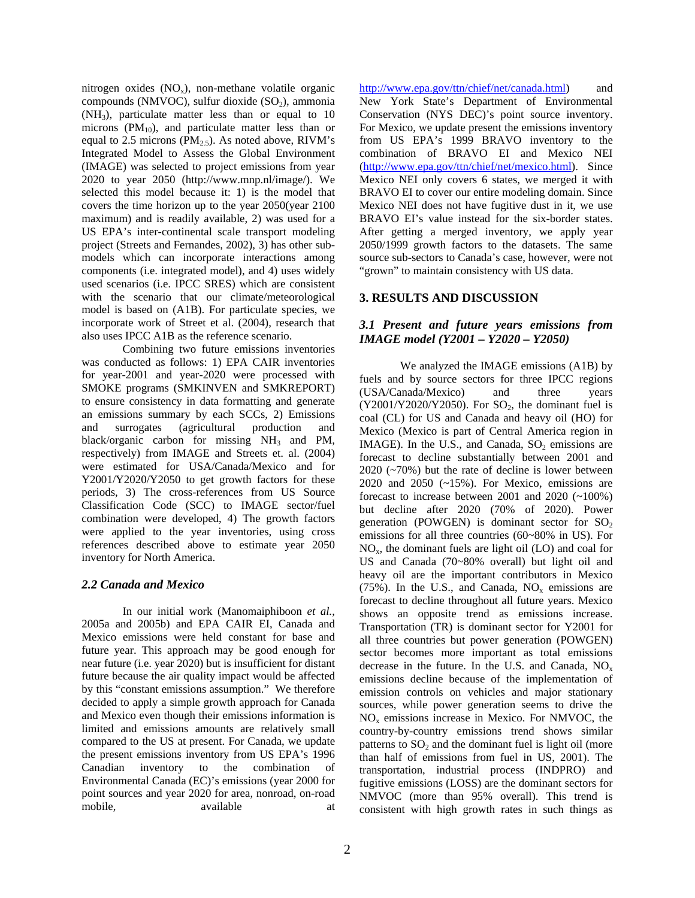nitrogen oxides  $(NO_x)$ , non-methane volatile organic compounds (NMVOC), sulfur dioxide  $(SO<sub>2</sub>)$ , ammonia  $(NH<sub>3</sub>)$ , particulate matter less than or equal to 10 microns ( $PM_{10}$ ), and particulate matter less than or equal to 2.5 microns ( $PM_{2.5}$ ). As noted above, RIVM's Integrated Model to Assess the Global Environment (IMAGE) was selected to project emissions from year 2020 to year 2050 (http://www.mnp.nl/image/). We selected this model because it: 1) is the model that covers the time horizon up to the year 2050(year 2100 maximum) and is readily available, 2) was used for a US EPA's inter-continental scale transport modeling project (Streets and Fernandes, 2002), 3) has other submodels which can incorporate interactions among components (i.e. integrated model), and 4) uses widely used scenarios (i.e. IPCC SRES) which are consistent with the scenario that our climate/meteorological model is based on (A1B). For particulate species, we incorporate work of Street et al. (2004), research that also uses IPCC A1B as the reference scenario.

Combining two future emissions inventories was conducted as follows: 1) EPA CAIR inventories for year-2001 and year-2020 were processed with SMOKE programs (SMKINVEN and SMKREPORT) to ensure consistency in data formatting and generate an emissions summary by each SCCs, 2) Emissions and surrogates (agricultural production and black/organic carbon for missing  $NH<sub>3</sub>$  and PM, respectively) from IMAGE and Streets et. al. (2004) were estimated for USA/Canada/Mexico and for Y2001/Y2020/Y2050 to get growth factors for these periods, 3) The cross-references from US Source Classification Code (SCC) to IMAGE sector/fuel combination were developed, 4) The growth factors were applied to the year inventories, using cross references described above to estimate year 2050 inventory for North America.

## *2.2 Canada and Mexico*

In our initial work (Manomaiphiboon *et al.*, 2005a and 2005b) and EPA CAIR EI, Canada and Mexico emissions were held constant for base and future year. This approach may be good enough for near future (i.e. year 2020) but is insufficient for distant future because the air quality impact would be affected by this "constant emissions assumption." We therefore decided to apply a simple growth approach for Canada and Mexico even though their emissions information is limited and emissions amounts are relatively small compared to the US at present. For Canada, we update the present emissions inventory from US EPA's 1996 Canadian inventory to the combination of Environmental Canada (EC)'s emissions (year 2000 for point sources and year 2020 for area, nonroad, on-road mobile, available at

http://www.epa.gov/ttn/chief/net/canada.html) and New York State's Department of Environmental Conservation (NYS DEC)'s point source inventory. For Mexico, we update present the emissions inventory from US EPA's 1999 BRAVO inventory to the combination of BRAVO EI and Mexico NEI (http://www.epa.gov/ttn/chief/net/mexico.html). Since Mexico NEI only covers 6 states, we merged it with BRAVO EI to cover our entire modeling domain. Since Mexico NEI does not have fugitive dust in it, we use BRAVO EI's value instead for the six-border states. After getting a merged inventory, we apply year 2050/1999 growth factors to the datasets. The same source sub-sectors to Canada's case, however, were not "grown" to maintain consistency with US data.

## **3. RESULTS AND DISCUSSION**

# *3.1 Present and future years emissions from IMAGE model (Y2001 – Y2020 – Y2050)*

We analyzed the IMAGE emissions (A1B) by fuels and by source sectors for three IPCC regions (USA/Canada/Mexico) and three years  $(Y2001/Y2020/Y2050)$ . For  $SO<sub>2</sub>$ , the dominant fuel is coal (CL) for US and Canada and heavy oil (HO) for Mexico (Mexico is part of Central America region in IMAGE). In the U.S., and Canada,  $SO<sub>2</sub>$  emissions are forecast to decline substantially between 2001 and 2020 (~70%) but the rate of decline is lower between 2020 and 2050 (~15%). For Mexico, emissions are forecast to increase between 2001 and 2020 (~100%) but decline after 2020 (70% of 2020). Power generation (POWGEN) is dominant sector for  $SO<sub>2</sub>$ emissions for all three countries (60~80% in US). For  $NO<sub>x</sub>$ , the dominant fuels are light oil (LO) and coal for US and Canada (70~80% overall) but light oil and heavy oil are the important contributors in Mexico (75%). In the U.S., and Canada,  $NO<sub>x</sub>$  emissions are forecast to decline throughout all future years. Mexico shows an opposite trend as emissions increase. Transportation (TR) is dominant sector for Y2001 for all three countries but power generation (POWGEN) sector becomes more important as total emissions decrease in the future. In the U.S. and Canada,  $NO<sub>x</sub>$ emissions decline because of the implementation of emission controls on vehicles and major stationary sources, while power generation seems to drive the  $NO<sub>x</sub>$  emissions increase in Mexico. For NMVOC, the country-by-country emissions trend shows similar patterns to  $SO<sub>2</sub>$  and the dominant fuel is light oil (more than half of emissions from fuel in US, 2001). The transportation, industrial process (INDPRO) and fugitive emissions (LOSS) are the dominant sectors for NMVOC (more than 95% overall). This trend is consistent with high growth rates in such things as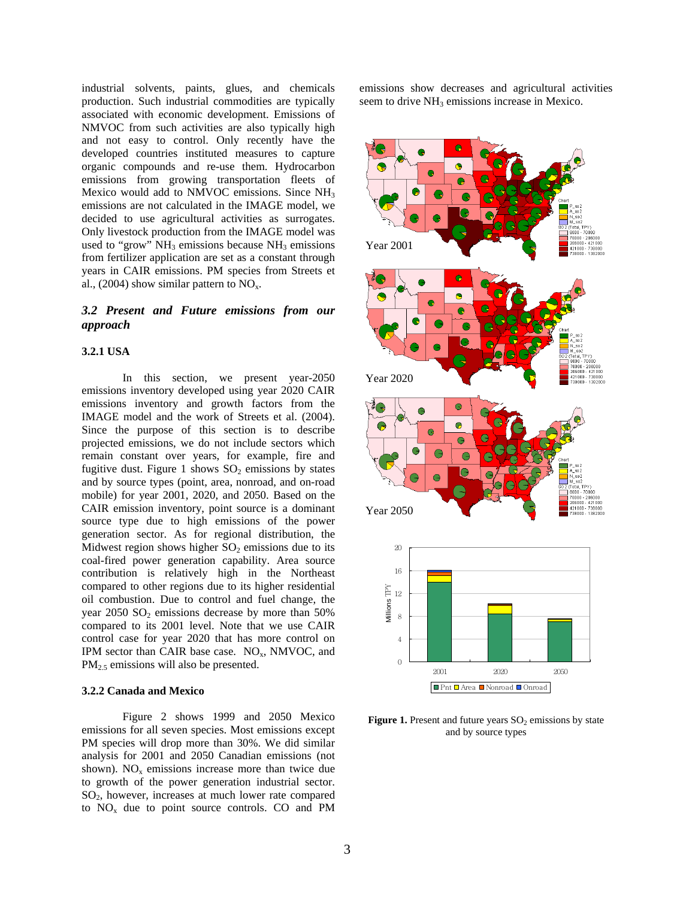industrial solvents, paints, glues, and chemicals production. Such industrial commodities are typically associated with economic development. Emissions of NMVOC from such activities are also typically high and not easy to control. Only recently have the developed countries instituted measures to capture organic compounds and re-use them. Hydrocarbon emissions from growing transportation fleets of Mexico would add to NMVOC emissions. Since NH<sub>3</sub> emissions are not calculated in the IMAGE model, we decided to use agricultural activities as surrogates. Only livestock production from the IMAGE model was used to "grow"  $NH_3$  emissions because  $NH_3$  emissions from fertilizer application are set as a constant through years in CAIR emissions. PM species from Streets et al., (2004) show similar pattern to  $NO<sub>x</sub>$ .

## *3.2 Present and Future emissions from our approach*

#### **3.2.1 USA**

In this section, we present year-2050 emissions inventory developed using year 2020 CAIR emissions inventory and growth factors from the IMAGE model and the work of Streets et al. (2004). Since the purpose of this section is to describe projected emissions, we do not include sectors which remain constant over years, for example, fire and fugitive dust. Figure 1 shows  $SO<sub>2</sub>$  emissions by states and by source types (point, area, nonroad, and on-road mobile) for year 2001, 2020, and 2050. Based on the CAIR emission inventory, point source is a dominant source type due to high emissions of the power generation sector. As for regional distribution, the Midwest region shows higher  $SO<sub>2</sub>$  emissions due to its coal-fired power generation capability. Area source contribution is relatively high in the Northeast compared to other regions due to its higher residential oil combustion. Due to control and fuel change, the year  $2050$  SO<sub>2</sub> emissions decrease by more than  $50\%$ compared to its 2001 level. Note that we use CAIR control case for year 2020 that has more control on IPM sector than CAIR base case.  $NO<sub>x</sub>$ , NMVOC, and PM<sub>2.5</sub> emissions will also be presented.

#### **3.2.2 Canada and Mexico**

Figure 2 shows 1999 and 2050 Mexico emissions for all seven species. Most emissions except PM species will drop more than 30%. We did similar analysis for 2001 and 2050 Canadian emissions (not shown).  $NO<sub>x</sub>$  emissions increase more than twice due to growth of the power generation industrial sector.  $SO<sub>2</sub>$ , however, increases at much lower rate compared to  $NO<sub>x</sub>$  due to point source controls. CO and PM

emissions show decreases and agricultural activities seem to drive NH<sub>3</sub> emissions increase in Mexico.



**Figure 1.** Present and future years  $SO<sub>2</sub>$  emissions by state and by source types